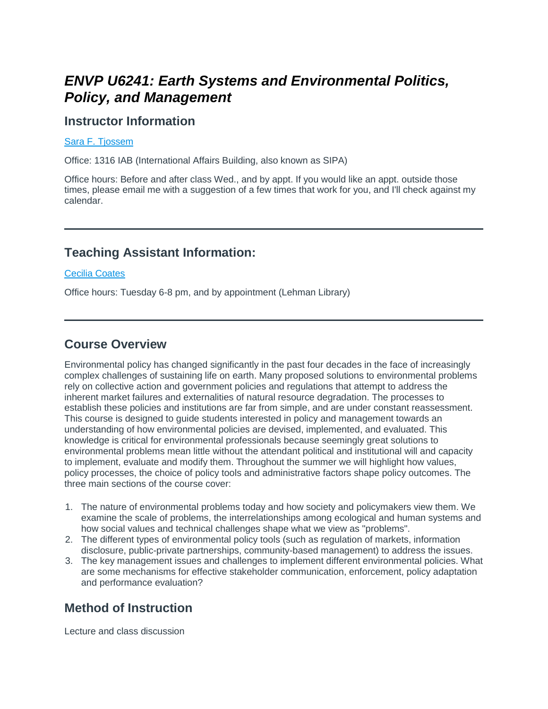# *ENVP U6241: Earth Systems and Environmental Politics, Policy, and Management*

#### **Instructor Information**

#### [Sara F. Tjossem](mailto:sft2101@columbia.edu)

Office: 1316 IAB (International Affairs Building, also known as SIPA)

Office hours: Before and after class Wed., and by appt. If you would like an appt. outside those times, please email me with a suggestion of a few times that work for you, and I'll check against my calendar.

#### **Teaching Assistant Information:**

#### [Cecilia Coates](mailto:cc4121@columbia.edu)

Office hours: Tuesday 6-8 pm, and by appointment (Lehman Library)

#### **Course Overview**

Environmental policy has changed significantly in the past four decades in the face of increasingly complex challenges of sustaining life on earth. Many proposed solutions to environmental problems rely on collective action and government policies and regulations that attempt to address the inherent market failures and externalities of natural resource degradation. The processes to establish these policies and institutions are far from simple, and are under constant reassessment. This course is designed to guide students interested in policy and management towards an understanding of how environmental policies are devised, implemented, and evaluated. This knowledge is critical for environmental professionals because seemingly great solutions to environmental problems mean little without the attendant political and institutional will and capacity to implement, evaluate and modify them. Throughout the summer we will highlight how values, policy processes, the choice of policy tools and administrative factors shape policy outcomes. The three main sections of the course cover:

- 1. The nature of environmental problems today and how society and policymakers view them. We examine the scale of problems, the interrelationships among ecological and human systems and how social values and technical challenges shape what we view as "problems".
- 2. The different types of environmental policy tools (such as regulation of markets, information disclosure, public-private partnerships, community-based management) to address the issues.
- 3. The key management issues and challenges to implement different environmental policies. What are some mechanisms for effective stakeholder communication, enforcement, policy adaptation and performance evaluation?

#### **Method of Instruction**

Lecture and class discussion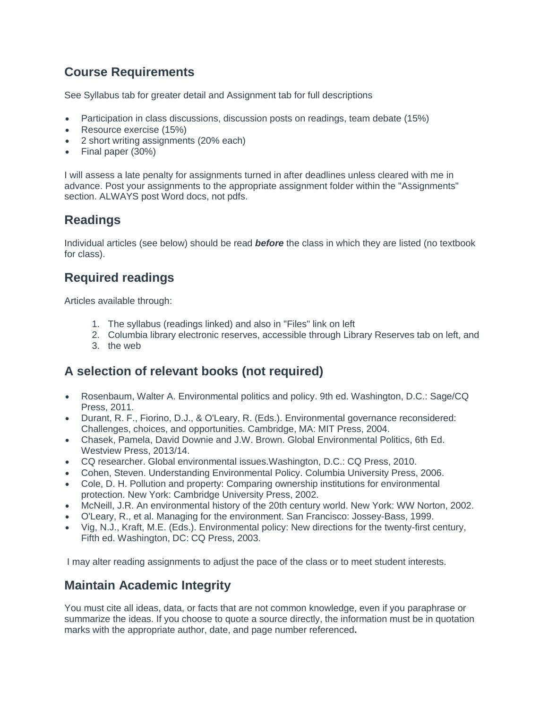## **Course Requirements**

See Syllabus tab for greater detail and Assignment tab for full descriptions

- Participation in class discussions, discussion posts on readings, team debate (15%)
- Resource exercise (15%)
- 2 short writing assignments (20% each)
- Final paper (30%)

I will assess a late penalty for assignments turned in after deadlines unless cleared with me in advance. Post your assignments to the appropriate assignment folder within the "Assignments" section. ALWAYS post Word docs, not pdfs.

### **Readings**

Individual articles (see below) should be read *before* the class in which they are listed (no textbook for class).

## **Required readings**

Articles available through:

- 1. The syllabus (readings linked) and also in "Files" link on left
- 2. Columbia library electronic reserves, accessible through Library Reserves tab on left, and
- 3. the web

### **A selection of relevant books (not required)**

- Rosenbaum, Walter A. *Environmental politics and policy*. 9th ed. Washington, D.C.: Sage/CQ Press, 2011.
- Durant, R. F., Fiorino, D.J., & O'Leary, R. (Eds.). *Environmental governance reconsidered: Challenges, choices, and opportunities.* Cambridge, MA: MIT Press, 2004.
- Chasek, Pamela, David Downie and J.W. Brown. *Global Environmental Politics*, 6th Ed. Westview Press, 2013/14.
- CQ researcher*. Global environmental issues.*Washington, D.C.: CQ Press, 2010.
- Cohen, Steven. *Understanding Environmental Policy*. Columbia University Press, 2006.
- Cole, D. H. *Pollution and property: Comparing ownership institutions for environmental protection*. New York: Cambridge University Press, 2002.
- McNeill, J.R. *An environmental history of the 20th century world.* New York: WW Norton, 2002.
- O'Leary, R., et al. *Managing for the environment*. San Francisco: Jossey-Bass, 1999.
- Vig, N.J., Kraft, M.E. (Eds.). *Environmental policy: New directions for the twenty-first century*, Fifth ed. Washington, DC: CQ Press, 2003.

I may alter reading assignments to adjust the pace of the class or to meet student interests.

### **Maintain Academic Integrity**

*You must cite all ideas, data, or facts that are not common knowledge, even if you paraphrase or summarize the ideas. If you choose to quote a source directly, the information must be in quotation marks with the appropriate author, date, and page number referenced***.**